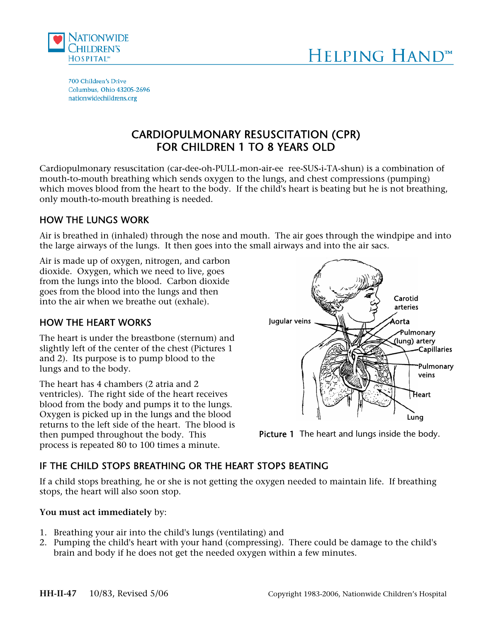



700 Children's Drive Columbus, Ohio 43205-2696 nationwidechildrens.org

# CARDIOPULMONARY RESUSCITATION (CPR) FOR CHILDREN 1 TO 8 YEARS OLD

 $\overline{a}$ 

Cardiopulmonary resuscitation (car-dee-oh-PULL-mon-air-ee ree-SUS-i-TA-shun) is a combination of mouth-to-mouth breathing which sends oxygen to the lungs, and chest compressions (pumping) which moves blood from the heart to the body. If the child's heart is beating but he is not breathing, only mouth-to-mouth breathing is needed.

## HOW THE LUNGS WORK

Air is breathed in (inhaled) through the nose and mouth. The air goes through the windpipe and into the large airways of the lungs. It then goes into the small airways and into the air sacs.

Air is made up of oxygen, nitrogen, and carbon dioxide. Oxygen, which we need to live, goes from the lungs into the blood. Carbon dioxide goes from the blood into the lungs and then into the air when we breathe out (exhale).

# HOW THE HEART WORKS

The heart is under the breastbone (sternum) and slightly left of the center of the chest (Pictures 1 and 2). Its purpose is to pump blood to the lungs and to the body.

The heart has 4 chambers (2 atria and 2 ventricles). The right side of the heart receives blood from the body and pumps it to the lungs. Oxygen is picked up in the lungs and the blood returns to the left side of the heart. The blood is then pumped throughout the body. This process is repeated 80 to 100 times a minute.





# IF THE CHILD STOPS BREATHING OR THE HEART STOPS BEATING

If a child stops breathing, he or she is not getting the oxygen needed to maintain life. If breathing stops, the heart will also soon stop.

#### **You must act immediately** by:

- 1. Breathing your air into the child's lungs (ventilating) and
- 2. Pumping the child's heart with your hand (compressing). There could be damage to the child's brain and body if he does not get the needed oxygen within a few minutes.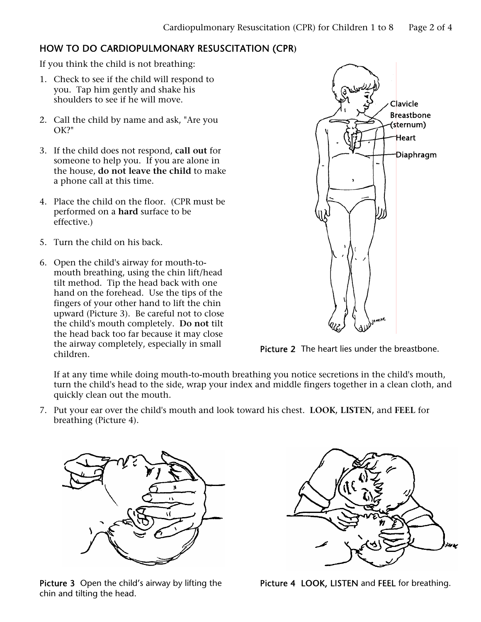## HOW TO DO CARDIOPULMONARY RESUSCITATION (CPR**)**

If you think the child is not breathing:

- 1. Check to see if the child will respond to you. Tap him gently and shake his shoulders to see if he will move.
- 2. Call the child by name and ask, "Are you OK?"
- 3. If the child does not respond, **call out** for someone to help you. If you are alone in the house, **do not leave the child** to make a phone call at this time.
- 4. Place the child on the floor. (CPR must be performed on a **hard** surface to be effective.)
- 5. Turn the child on his back.
- 6. Open the child's airway for mouth-tomouth breathing, using the chin lift/head tilt method. Tip the head back with one hand on the forehead. Use the tips of the fingers of your other hand to lift the chin upward (Picture 3). Be careful not to close the child's mouth completely. **Do not** tilt the head back too far because it may close the airway completely, especially in small



Picture 2 The heart lies under the breastbone.

If at any time while doing mouth-to-mouth breathing you notice secretions in the child's mouth, turn the child's head to the side, wrap your index and middle fingers together in a clean cloth, and quickly clean out the mouth.

7. Put your ear over the child's mouth and look toward his chest. **LOOK, LISTEN,** and **FEEL** for breathing (Picture 4).



Picture 3 Open the child's airway by lifting the chin and tilting the head.



Picture 4 LOOK, LISTEN and FEEL for breathing.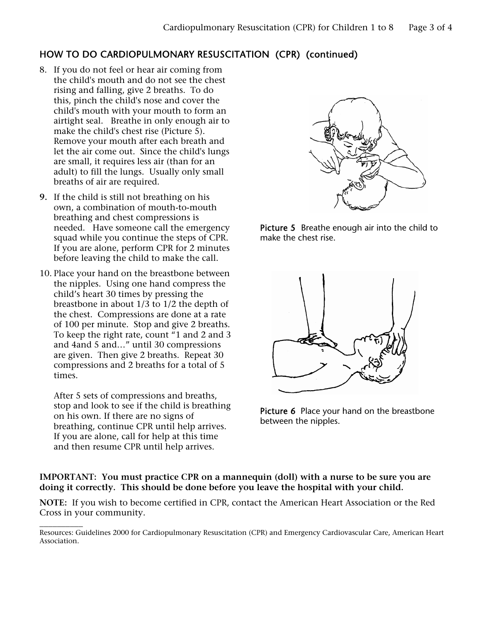# HOW TO DO CARDIOPULMONARY RESUSCITATION (CPR) (continued)

- 8. If you do not feel or hear air coming from the child's mouth and do not see the chest rising and falling, give 2 breaths. To do this, pinch the child's nose and cover the child's mouth with your mouth to form an airtight seal. Breathe in only enough air to make the child's chest rise (Picture 5). Remove your mouth after each breath and let the air come out. Since the child's lungs are small, it requires less air (than for an adult) to fill the lungs. Usually only small breaths of air are required.
- **9.** If the child is still not breathing on his own, a combination of mouth-to-mouth breathing and chest compressions is needed. Have someone call the emergency squad while you continue the steps of CPR. If you are alone, perform CPR for 2 minutes before leaving the child to make the call.
- 10. Place your hand on the breastbone between the nipples. Using one hand compress the child's heart 30 times by pressing the breastbone in about 1/3 to 1/2 the depth of the chest. Compressions are done at a rate of 100 per minute. Stop and give 2 breaths. To keep the right rate, count "1 and 2 and 3 and 4and 5 and…" until 30 compressions are given. Then give 2 breaths. Repeat 30 compressions and 2 breaths for a total of 5 times.

After 5 sets of compressions and breaths, stop and look to see if the child is breathing on his own. If there are no signs of breathing, continue CPR until help arrives. If you are alone, call for help at this time and then resume CPR until help arrives.



Picture 5 Breathe enough air into the child to make the chest rise.



Picture 6 Place your hand on the breastbone between the nipples.

#### **IMPORTANT: You must practice CPR on a mannequin (doll) with a nurse to be sure you are doing it correctly. This should be done before you leave the hospital with your child.**

**NOTE:** If you wish to become certified in CPR, contact the American Heart Association or the Red Cross in your community.

 $\overline{\phantom{a}}$ Resources: Guidelines 2000 for Cardiopulmonary Resuscitation (CPR) and Emergency Cardiovascular Care, American Heart Association.